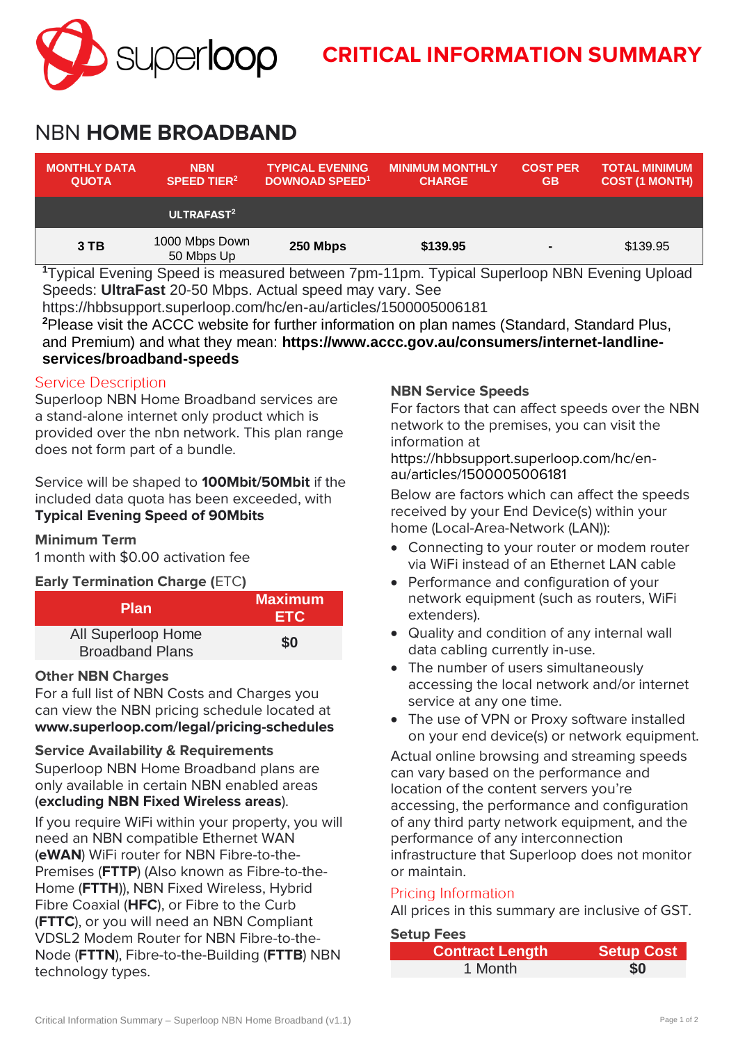

# **CRITICAL INFORMATION SUMMARY**

## NBN **HOME BROADBAND**

| <b>MONTHLY DATA</b><br><b>QUOTA</b> | <b>NBN</b><br><b>SPEED TIER<sup>2</sup></b> | <b>TYPICAL EVENING</b><br><b>DOWNOAD SPEED<sup>1</sup></b> | <b>MINIMUM MONTHLY</b><br><b>CHARGE</b> | <b>COST PER</b><br><b>GB</b> | <b>TOTAL MINIMUM</b><br><b>COST (1 MONTH)</b> |
|-------------------------------------|---------------------------------------------|------------------------------------------------------------|-----------------------------------------|------------------------------|-----------------------------------------------|
|                                     | ULTRAFAST <sup>2</sup>                      |                                                            |                                         |                              |                                               |
| 3 TB                                | 1000 Mbps Down<br>50 Mbps Up                | 250 Mbps                                                   | \$139.95                                | $\blacksquare$               | \$139.95                                      |
| $\sim$<br>$\sim$                    | .<br>$\sim$                                 | .                                                          | $\overline{\phantom{a}}$<br>.<br>$\sim$ | .                            | .                                             |

**<sup>1</sup>**Typical Evening Speed is measured between 7pm-11pm. Typical Superloop NBN Evening Upload Speeds: **UltraFast** 20-50 Mbps. Actual speed may vary. See

https://hbbsupport.superloop.com/hc/en-au/articles/1500005006181

**<sup>2</sup>**Please visit the ACCC website for further information on plan names (Standard, Standard Plus, and Premium) and what they mean: **https://www.accc.gov.au/consumers/internet-landlineservices/broadband-speeds**

#### **Service Description**

Superloop NBN Home Broadband services are a stand-alone internet only product which is provided over the nbn network. This plan range does not form part of a bundle.

Service will be shaped to **100Mbit/50Mbit** if the included data quota has been exceeded, with **Typical Evening Speed of 90Mbits**

#### **Minimum Term**

1 month with \$0.00 activation fee

**Early Termination Charge (**ETC**)**

| <b>Plan</b>                                  | <b>Maximum</b><br>ETC. |
|----------------------------------------------|------------------------|
| All Superloop Home<br><b>Broadband Plans</b> | \$0                    |

#### **Other NBN Charges**

For a full list of NBN Costs and Charges you can view the NBN pricing schedule located at **[www.superloop.com/legal/pricing-schedules](https://www.superloop.com/legal/pricing-schedules.html)**

#### **Service Availability & Requirements**

Superloop NBN Home Broadband plans are only available in certain NBN enabled areas (*excluding NBN Fixed Wireless areas*).

If you require WiFi within your property, you will need an NBN compatible Ethernet WAN (**eWAN**) WiFi router for NBN Fibre-to-the-Premises (**FTTP**) (Also known as Fibre-to-the-Home (**FTTH**)), NBN Fixed Wireless, Hybrid Fibre Coaxial (**HFC**), or Fibre to the Curb (**FTTC**), or you will need an NBN Compliant VDSL2 Modem Router for NBN Fibre-to-the-Node (**FTTN**), Fibre-to-the-Building (**FTTB**) NBN technology types.

#### **NBN Service Speeds**

For factors that can affect speeds over the NBN network to the premises, you can visit the information at

https://hbbsupport.superloop.com/hc/enau/articles/1500005006181

Below are factors which can affect the speeds received by your End Device(s) within your home (Local-Area-Network (LAN)):

- Connecting to your router or modem router via WiFi instead of an Ethernet LAN cable
- Performance and configuration of your network equipment (such as routers, WiFi extenders).
- Quality and condition of any internal wall data cabling currently in-use.
- The number of users simultaneously accessing the local network and/or internet service at any one time.
- The use of VPN or Proxy software installed on your end device(s) or network equipment.

Actual online browsing and streaming speeds can vary based on the performance and location of the content servers you're accessing, the performance and configuration of any third party network equipment, and the performance of any interconnection infrastructure that Superloop does not monitor or maintain.

#### Pricing Information

All prices in this summary are inclusive of GST.

#### **Setup Fees**

| <b>Contract Length</b> | <b>Setup Cost</b> |
|------------------------|-------------------|
| 1 Month                | \$0               |